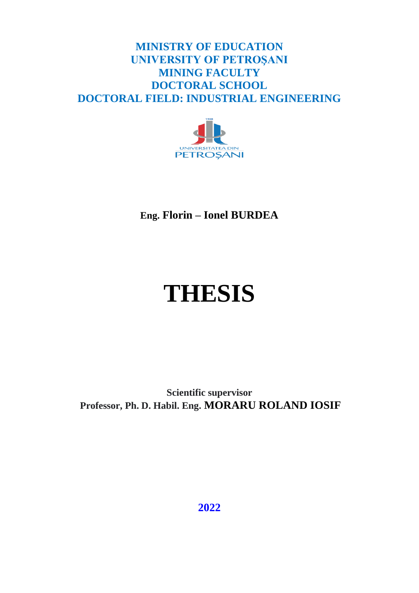## **MINISTRY OF EDUCATION UNIVERSITY OF PETROŞANI MINING FACULTY DOCTORAL SCHOOL DOCTORAL FIELD: INDUSTRIAL ENGINEERING**



**Eng. Florin – Ionel BURDEA**

# **THESIS**

**Scientific supervisor Professor, Ph. D. Habil. Eng. MORARU ROLAND IOSIF**

**2022**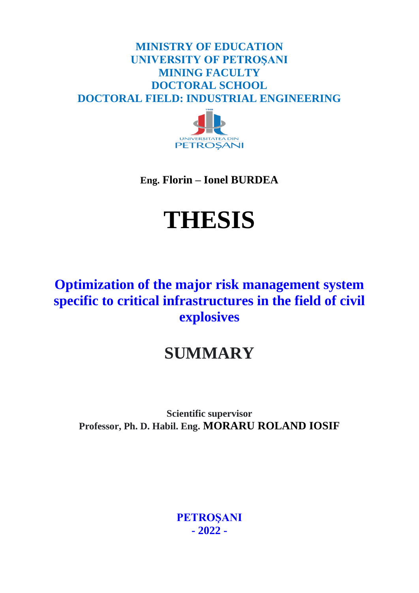## **MINISTRY OF EDUCATION UNIVERSITY OF PETROŞANI MINING FACULTY DOCTORAL SCHOOL DOCTORAL FIELD: INDUSTRIAL ENGINEERING**



**Eng. Florin – Ionel BURDEA**

## **THESIS**

## **Optimization of the major risk management system specific to critical infrastructures in the field of civil explosives**

## **SUMMARY**

**Scientific supervisor Professor, Ph. D. Habil. Eng. MORARU ROLAND IOSIF**

> **PETROŞANI - 2022 -**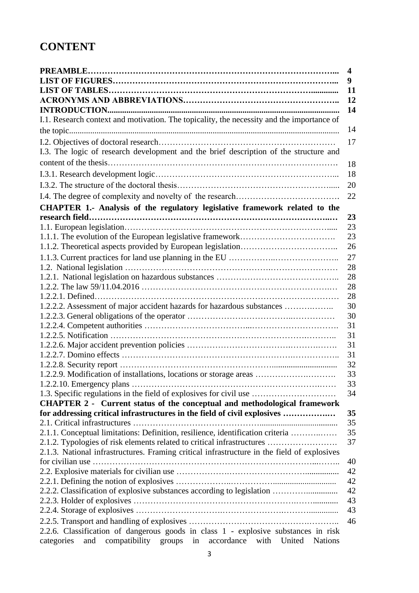## **CONTENT**

| $\boldsymbol{4}$                                                                                  |
|---------------------------------------------------------------------------------------------------|
| 9                                                                                                 |
| 11                                                                                                |
| 12                                                                                                |
| 14                                                                                                |
| I.1. Research context and motivation. The topicality, the necessity and the importance of         |
| 14                                                                                                |
| 17                                                                                                |
| I.3. The logic of research development and the brief description of the structure and             |
| 18                                                                                                |
| 18                                                                                                |
| 20                                                                                                |
| 22                                                                                                |
| CHAPTER 1.- Analysis of the regulatory legislative framework related to the                       |
| 23                                                                                                |
| 23                                                                                                |
| 23                                                                                                |
| 26                                                                                                |
| 27                                                                                                |
| 28                                                                                                |
| 28                                                                                                |
| 28                                                                                                |
| 28                                                                                                |
| 30                                                                                                |
| 30                                                                                                |
| 31                                                                                                |
| 31                                                                                                |
| 31                                                                                                |
| 31                                                                                                |
| 32                                                                                                |
| 1.2.2.9. Modification of installations, locations or storage areas<br>33                          |
| 33                                                                                                |
| 1.3. Specific regulations in the field of explosives for civil use<br>34                          |
| <b>CHAPTER 2 - Current status of the conceptual and methodological framework</b><br>35            |
| for addressing critical infrastructures in the field of civil explosives<br>35                    |
| 35<br>2.1.1. Conceptual limitations: Definition, resilience, identification criteria              |
| 2.1.2. Typologies of risk elements related to critical infrastructures<br>37                      |
| 2.1.3. National infrastructures. Framing critical infrastructure in the field of explosives       |
| 40                                                                                                |
| 42                                                                                                |
| 42                                                                                                |
| 42<br>2.2.2. Classification of explosive substances according to legislation                      |
| 43                                                                                                |
| 43                                                                                                |
| 46                                                                                                |
| 2.2.6. Classification of dangerous goods in class 1 - explosive substances in risk                |
| compatibility groups<br>in<br>accordance<br>with<br>United<br>categories<br>and<br><b>Nations</b> |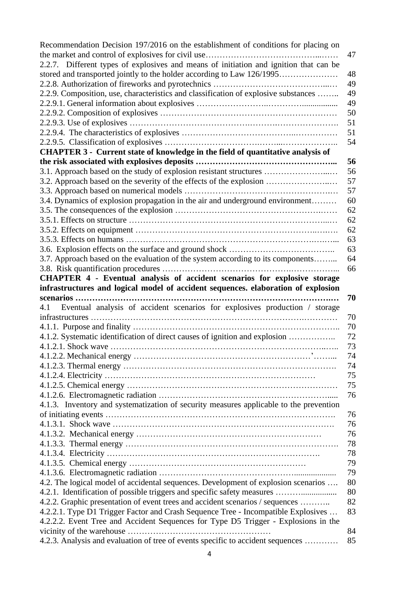| Recommendation Decision 197/2016 on the establishment of conditions for placing on     |    |
|----------------------------------------------------------------------------------------|----|
|                                                                                        | 47 |
| 2.2.7. Different types of explosives and means of initiation and ignition that can be  |    |
| stored and transported jointly to the holder according to Law 126/1995                 | 48 |
|                                                                                        | 49 |
| 2.2.9. Composition, use, characteristics and classification of explosive substances    | 49 |
|                                                                                        | 49 |
|                                                                                        | 50 |
|                                                                                        | 51 |
|                                                                                        | 51 |
|                                                                                        | 54 |
| CHAPTER 3 - Current state of knowledge in the field of quantitative analysis of        |    |
|                                                                                        | 56 |
| 3.1. Approach based on the study of explosion resistant structures                     | 56 |
| 3.2. Approach based on the severity of the effects of the explosion                    | 57 |
|                                                                                        | 57 |
| 3.4. Dynamics of explosion propagation in the air and underground environment          | 60 |
|                                                                                        | 62 |
|                                                                                        | 62 |
|                                                                                        | 62 |
|                                                                                        | 63 |
|                                                                                        | 63 |
| 3.7. Approach based on the evaluation of the system according to its components        | 64 |
|                                                                                        | 66 |
| CHAPTER 4 - Eventual analysis of accident scenarios for explosive storage              |    |
| infrastructures and logical model of accident sequences. elaboration of explosion      |    |
| scenarios                                                                              | 70 |
| Eventual analysis of accident scenarios for explosives production / storage<br>4.1     |    |
|                                                                                        | 70 |
|                                                                                        | 70 |
| 4.1.2. Systematic identification of direct causes of ignition and explosion            | 72 |
|                                                                                        | 73 |
|                                                                                        | 74 |
|                                                                                        | 74 |
|                                                                                        | 75 |
|                                                                                        | 75 |
|                                                                                        | 76 |
| 4.1.3. Inventory and systematization of security measures applicable to the prevention |    |
|                                                                                        | 76 |
|                                                                                        | 76 |
|                                                                                        | 76 |
|                                                                                        | 78 |
|                                                                                        | 78 |
|                                                                                        | 79 |
|                                                                                        | 79 |
| 4.2. The logical model of accidental sequences. Development of explosion scenarios     | 80 |
| 4.2.1. Identification of possible triggers and specific safety measures                | 80 |
| 4.2.2. Graphic presentation of event trees and accident scenarios / sequences          | 82 |
| 4.2.2.1. Type D1 Trigger Factor and Crash Sequence Tree - Incompatible Explosives      | 83 |
| 4.2.2.2. Event Tree and Accident Sequences for Type D5 Trigger - Explosions in the     |    |
|                                                                                        | 84 |
| 4.2.3. Analysis and evaluation of tree of events specific to accident sequences        | 85 |
|                                                                                        |    |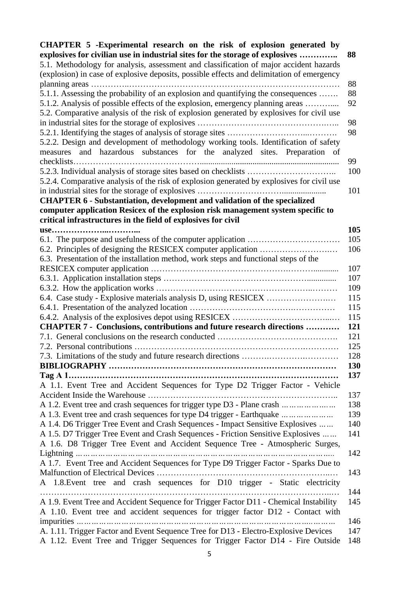| CHAPTER 5 -Experimental research on the risk of explosion generated by                     |                   |
|--------------------------------------------------------------------------------------------|-------------------|
| explosives for civilian use in industrial sites for the storage of explosives              | 88                |
| 5.1. Methodology for analysis, assessment and classification of major accident hazards     |                   |
| (explosion) in case of explosive deposits, possible effects and delimitation of emergency  |                   |
|                                                                                            | 88                |
| 5.1.1. Assessing the probability of an explosion and quantifying the consequences          | 88                |
| 5.1.2. Analysis of possible effects of the explosion, emergency planning areas             | 92                |
| 5.2. Comparative analysis of the risk of explosion generated by explosives for civil use   |                   |
|                                                                                            | 98                |
|                                                                                            | 98                |
| 5.2.2. Design and development of methodology working tools. Identification of safety       |                   |
| measures and hazardous substances for the analyzed sites. Preparation of                   |                   |
|                                                                                            | 99                |
|                                                                                            | 100               |
| 5.2.4. Comparative analysis of the risk of explosion generated by explosives for civil use |                   |
|                                                                                            | 101               |
| <b>CHAPTER 6 - Substantiation, development and validation of the specialized</b>           |                   |
| computer application Resicex of the explosion risk management system specific to           |                   |
| critical infrastructures in the field of explosives for civil                              |                   |
| use                                                                                        | 105               |
|                                                                                            | 105               |
|                                                                                            | 106               |
| 6.3. Presentation of the installation method, work steps and functional steps of the       |                   |
|                                                                                            | 107               |
|                                                                                            | 107               |
|                                                                                            | 109               |
|                                                                                            | 115               |
|                                                                                            | 115               |
|                                                                                            | 115               |
| <b>CHAPTER 7 - Conclusions, contributions and future research directions </b>              | 121               |
|                                                                                            | 121               |
|                                                                                            | 125<br>128        |
|                                                                                            |                   |
|                                                                                            | <b>130</b><br>137 |
| A 1.1. Event Tree and Accident Sequences for Type D2 Trigger Factor - Vehicle              |                   |
|                                                                                            | 137               |
| A 1.2. Event tree and crash sequences for trigger type D3 - Plane crash                    | 138               |
| A 1.3. Event tree and crash sequences for type D4 trigger - Earthquake                     | 139               |
| A 1.4. D6 Trigger Tree Event and Crash Sequences - Impact Sensitive Explosives             | 140               |
| A 1.5. D7 Trigger Tree Event and Crash Sequences - Friction Sensitive Explosives           | 141               |
| A 1.6. D8 Trigger Tree Event and Accident Sequence Tree - Atmospheric Surges,              |                   |
|                                                                                            | 142               |
| A 1.7. Event Tree and Accident Sequences for Type D9 Trigger Factor - Sparks Due to        |                   |
|                                                                                            | 143               |
| A 1.8. Event tree and crash sequences for D10 trigger - Static electricity                 |                   |
|                                                                                            | 144               |
| A 1.9. Event Tree and Accident Sequence for Trigger Factor D11 - Chemical Instability      | 145               |
| A 1.10. Event tree and accident sequences for trigger factor D12 - Contact with            |                   |
|                                                                                            | 146               |
| A. 1.11. Trigger Factor and Event Sequence Tree for D13 - Electro-Explosive Devices        | 147               |
| A 1.12. Event Tree and Trigger Sequences for Trigger Factor D14 - Fire Outside             | 148               |
|                                                                                            |                   |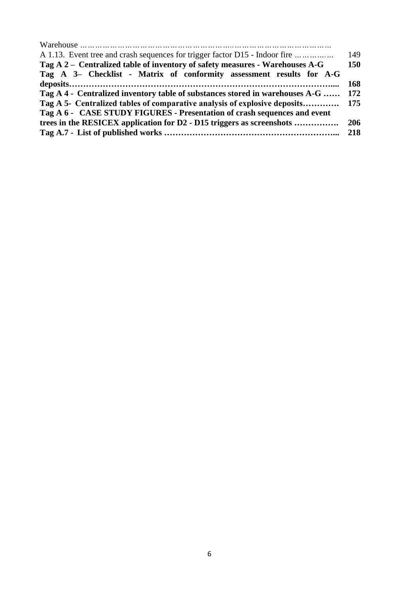| A 1.13. Event tree and crash sequences for trigger factor D15 - Indoor fire   | 149 |
|-------------------------------------------------------------------------------|-----|
| Tag A 2 – Centralized table of inventory of safety measures - Warehouses A-G  | 150 |
| Tag A 3- Checklist - Matrix of conformity assessment results for A-G          |     |
|                                                                               | 168 |
| Tag A 4 - Centralized inventory table of substances stored in warehouses A-G  | 172 |
| Tag A 5- Centralized tables of comparative analysis of explosive deposits 175 |     |
| Tag A 6 - CASE STUDY FIGURES - Presentation of crash sequences and event      |     |
| trees in the RESICEX application for D2 - D15 triggers as screenshots         | 206 |
|                                                                               | 218 |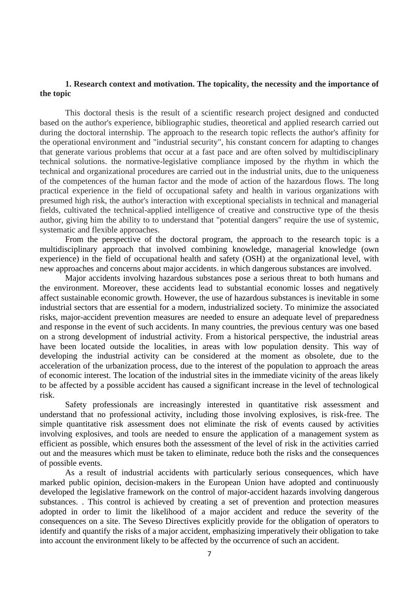#### **1. Research context and motivation. The topicality, the necessity and the importance of the topic**

This doctoral thesis is the result of a scientific research project designed and conducted based on the author's experience, bibliographic studies, theoretical and applied research carried out during the doctoral internship. The approach to the research topic reflects the author's affinity for the operational environment and "industrial security", his constant concern for adapting to changes that generate various problems that occur at a fast pace and are often solved by multidisciplinary technical solutions. the normative-legislative compliance imposed by the rhythm in which the technical and organizational procedures are carried out in the industrial units, due to the uniqueness of the competences of the human factor and the mode of action of the hazardous flows. The long practical experience in the field of occupational safety and health in various organizations with presumed high risk, the author's interaction with exceptional specialists in technical and managerial fields, cultivated the technical-applied intelligence of creative and constructive type of the thesis author, giving him the ability to to understand that "potential dangers" require the use of systemic, systematic and flexible approaches.

From the perspective of the doctoral program, the approach to the research topic is a multidisciplinary approach that involved combining knowledge, managerial knowledge (own experience) in the field of occupational health and safety (OSH) at the organizational level, with new approaches and concerns about major accidents. in which dangerous substances are involved.

Major accidents involving hazardous substances pose a serious threat to both humans and the environment. Moreover, these accidents lead to substantial economic losses and negatively affect sustainable economic growth. However, the use of hazardous substances is inevitable in some industrial sectors that are essential for a modern, industrialized society. To minimize the associated risks, major-accident prevention measures are needed to ensure an adequate level of preparedness and response in the event of such accidents. In many countries, the previous century was one based on a strong development of industrial activity. From a historical perspective, the industrial areas have been located outside the localities, in areas with low population density. This way of developing the industrial activity can be considered at the moment as obsolete, due to the acceleration of the urbanization process, due to the interest of the population to approach the areas of economic interest. The location of the industrial sites in the immediate vicinity of the areas likely to be affected by a possible accident has caused a significant increase in the level of technological risk.

Safety professionals are increasingly interested in quantitative risk assessment and understand that no professional activity, including those involving explosives, is risk-free. The simple quantitative risk assessment does not eliminate the risk of events caused by activities involving explosives, and tools are needed to ensure the application of a management system as efficient as possible, which ensures both the assessment of the level of risk in the activities carried out and the measures which must be taken to eliminate, reduce both the risks and the consequences of possible events.

As a result of industrial accidents with particularly serious consequences, which have marked public opinion, decision-makers in the European Union have adopted and continuously developed the legislative framework on the control of major-accident hazards involving dangerous substances. . This control is achieved by creating a set of prevention and protection measures adopted in order to limit the likelihood of a major accident and reduce the severity of the consequences on a site. The Seveso Directives explicitly provide for the obligation of operators to identify and quantify the risks of a major accident, emphasizing imperatively their obligation to take into account the environment likely to be affected by the occurrence of such an accident.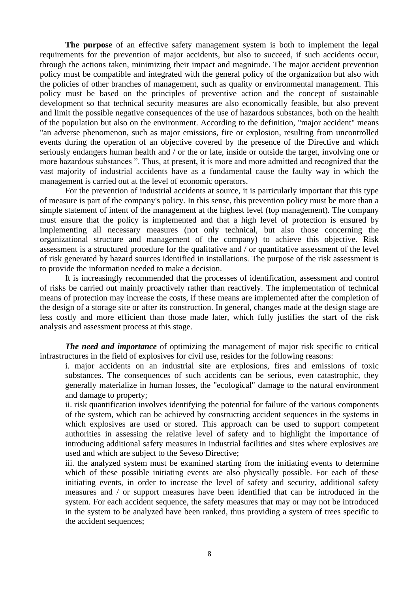**The purpose** of an effective safety management system is both to implement the legal requirements for the prevention of major accidents, but also to succeed, if such accidents occur, through the actions taken, minimizing their impact and magnitude. The major accident prevention policy must be compatible and integrated with the general policy of the organization but also with the policies of other branches of management, such as quality or environmental management. This policy must be based on the principles of preventive action and the concept of sustainable development so that technical security measures are also economically feasible, but also prevent and limit the possible negative consequences of the use of hazardous substances, both on the health of the population but also on the environment. According to the definition, "major accident" means "an adverse phenomenon, such as major emissions, fire or explosion, resulting from uncontrolled events during the operation of an objective covered by the presence of the Directive and which seriously endangers human health and / or the or late, inside or outside the target, involving one or more hazardous substances ". Thus, at present, it is more and more admitted and recognized that the vast majority of industrial accidents have as a fundamental cause the faulty way in which the management is carried out at the level of economic operators.

For the prevention of industrial accidents at source, it is particularly important that this type of measure is part of the company's policy. In this sense, this prevention policy must be more than a simple statement of intent of the management at the highest level (top management). The company must ensure that the policy is implemented and that a high level of protection is ensured by implementing all necessary measures (not only technical, but also those concerning the organizational structure and management of the company) to achieve this objective. Risk assessment is a structured procedure for the qualitative and / or quantitative assessment of the level of risk generated by hazard sources identified in installations. The purpose of the risk assessment is to provide the information needed to make a decision.

It is increasingly recommended that the processes of identification, assessment and control of risks be carried out mainly proactively rather than reactively. The implementation of technical means of protection may increase the costs, if these means are implemented after the completion of the design of a storage site or after its construction. In general, changes made at the design stage are less costly and more efficient than those made later, which fully justifies the start of the risk analysis and assessment process at this stage.

*The need and importance* of optimizing the management of major risk specific to critical infrastructures in the field of explosives for civil use, resides for the following reasons:

i. major accidents on an industrial site are explosions, fires and emissions of toxic substances. The consequences of such accidents can be serious, even catastrophic, they generally materialize in human losses, the "ecological" damage to the natural environment and damage to property;

ii. risk quantification involves identifying the potential for failure of the various components of the system, which can be achieved by constructing accident sequences in the systems in which explosives are used or stored. This approach can be used to support competent authorities in assessing the relative level of safety and to highlight the importance of introducing additional safety measures in industrial facilities and sites where explosives are used and which are subject to the Seveso Directive;

iii. the analyzed system must be examined starting from the initiating events to determine which of these possible initiating events are also physically possible. For each of these initiating events, in order to increase the level of safety and security, additional safety measures and / or support measures have been identified that can be introduced in the system. For each accident sequence, the safety measures that may or may not be introduced in the system to be analyzed have been ranked, thus providing a system of trees specific to the accident sequences;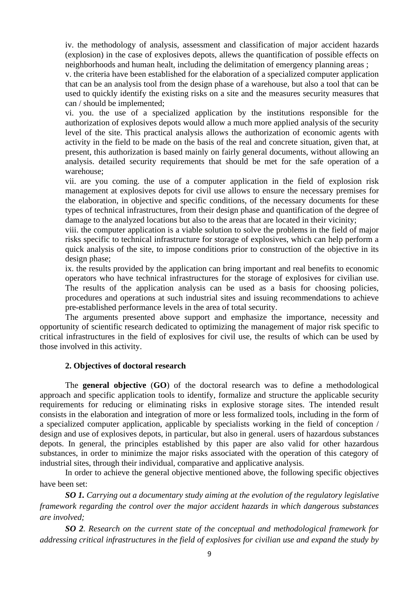iv. the methodology of analysis, assessment and classification of major accident hazards (explosion) in the case of explosives depots, allews the quantification of possible effects on neighborhoods and human healt, including the delimitation of emergency planning areas ;

v. the criteria have been established for the elaboration of a specialized computer application that can be an analysis tool from the design phase of a warehouse, but also a tool that can be used to quickly identify the existing risks on a site and the measures security measures that can / should be implemented;

vi. you. the use of a specialized application by the institutions responsible for the authorization of explosives depots would allow a much more applied analysis of the security level of the site. This practical analysis allows the authorization of economic agents with activity in the field to be made on the basis of the real and concrete situation, given that, at present, this authorization is based mainly on fairly general documents, without allowing an analysis. detailed security requirements that should be met for the safe operation of a warehouse;

vii. are you coming. the use of a computer application in the field of explosion risk management at explosives depots for civil use allows to ensure the necessary premises for the elaboration, in objective and specific conditions, of the necessary documents for these types of technical infrastructures, from their design phase and quantification of the degree of damage to the analyzed locations but also to the areas that are located in their vicinity;

viii. the computer application is a viable solution to solve the problems in the field of major risks specific to technical infrastructure for storage of explosives, which can help perform a quick analysis of the site, to impose conditions prior to construction of the objective in its design phase;

ix. the results provided by the application can bring important and real benefits to economic operators who have technical infrastructures for the storage of explosives for civilian use. The results of the application analysis can be used as a basis for choosing policies, procedures and operations at such industrial sites and issuing recommendations to achieve pre-established performance levels in the area of total security.

The arguments presented above support and emphasize the importance, necessity and opportunity of scientific research dedicated to optimizing the management of major risk specific to critical infrastructures in the field of explosives for civil use, the results of which can be used by those involved in this activity.

#### **2. Objectives of doctoral research**

The **general objective** (**GO**) of the doctoral research was to define a methodological approach and specific application tools to identify, formalize and structure the applicable security requirements for reducing or eliminating risks in explosive storage sites. The intended result consists in the elaboration and integration of more or less formalized tools, including in the form of a specialized computer application, applicable by specialists working in the field of conception / design and use of explosives depots, in particular, but also in general. users of hazardous substances depots. In general, the principles established by this paper are also valid for other hazardous substances, in order to minimize the major risks associated with the operation of this category of industrial sites, through their individual, comparative and applicative analysis.

In order to achieve the general objective mentioned above, the following specific objectives have been set:

*SO 1. Carrying out a documentary study aiming at the evolution of the regulatory legislative framework regarding the control over the major accident hazards in which dangerous substances are involved;*

*SO 2. Research on the current state of the conceptual and methodological framework for addressing critical infrastructures in the field of explosives for civilian use and expand the study by*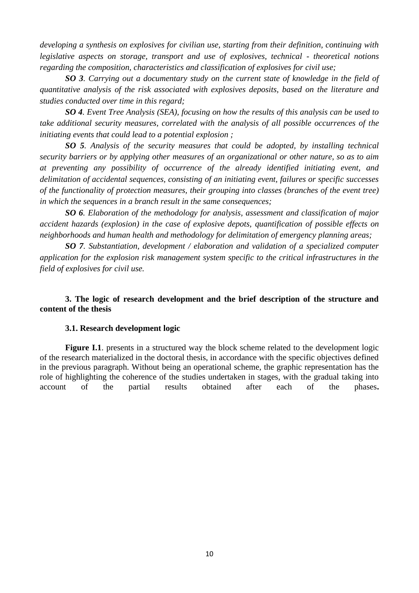*developing a synthesis on explosives for civilian use, starting from their definition, continuing with legislative aspects on storage, transport and use of explosives, technical - theoretical notions regarding the composition, characteristics and classification of explosives for civil use;*

*SO 3. Carrying out a documentary study on the current state of knowledge in the field of quantitative analysis of the risk associated with explosives deposits, based on the literature and studies conducted over time in this regard;*

*SO 4. Event Tree Analysis (SEA), focusing on how the results of this analysis can be used to take additional security measures, correlated with the analysis of all possible occurrences of the initiating events that could lead to a potential explosion ;*

*SO 5. Analysis of the security measures that could be adopted, by installing technical security barriers or by applying other measures of an organizational or other nature, so as to aim at preventing any possibility of occurrence of the already identified initiating event, and delimitation of accidental sequences, consisting of an initiating event, failures or specific successes of the functionality of protection measures, their grouping into classes (branches of the event tree) in which the sequences in a branch result in the same consequences;*

*SO 6. Elaboration of the methodology for analysis, assessment and classification of major accident hazards (explosion) in the case of explosive depots, quantification of possible effects on neighborhoods and human health and methodology for delimitation of emergency planning areas;*

*SO 7. Substantiation, development / elaboration and validation of a specialized computer application for the explosion risk management system specific to the critical infrastructures in the field of explosives for civil use.*

**3. The logic of research development and the brief description of the structure and content of the thesis**

#### **3.1. Research development logic**

**Figure I.1.** presents in a structured way the block scheme related to the development logic of the research materialized in the doctoral thesis, in accordance with the specific objectives defined in the previous paragraph. Without being an operational scheme, the graphic representation has the role of highlighting the coherence of the studies undertaken in stages, with the gradual taking into account of the partial results obtained after each of the phases**.**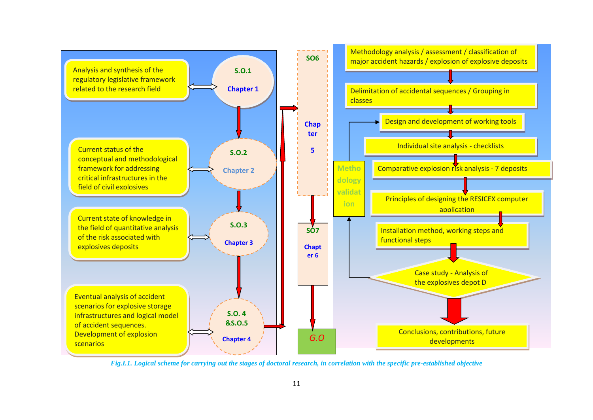

*Fig.I.1. Logical scheme for carrying out the stages of doctoral research, in correlation with the specific pre-established objective* **Cap. 7**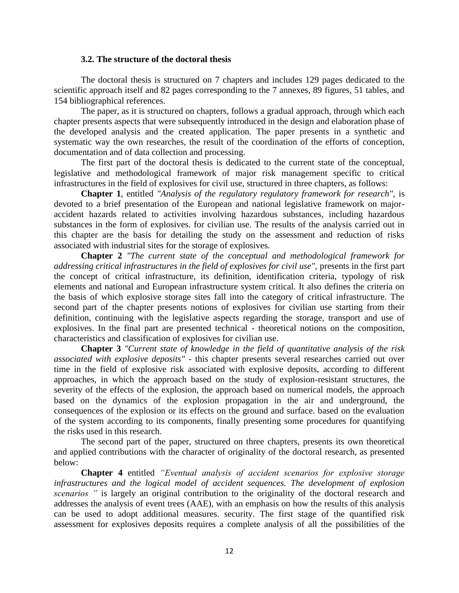#### **3.2. The structure of the doctoral thesis**

The doctoral thesis is structured on 7 chapters and includes 129 pages dedicated to the scientific approach itself and 82 pages corresponding to the 7 annexes, 89 figures, 51 tables, and 154 bibliographical references.

The paper, as it is structured on chapters, follows a gradual approach, through which each chapter presents aspects that were subsequently introduced in the design and elaboration phase of the developed analysis and the created application. The paper presents in a synthetic and systematic way the own researches, the result of the coordination of the efforts of conception, documentation and of data collection and processing.

The first part of the doctoral thesis is dedicated to the current state of the conceptual, legislative and methodological framework of major risk management specific to critical infrastructures in the field of explosives for civil use, structured in three chapters, as follows:

**Chapter 1**, entitled *"Analysis of the regulatory regulatory framework for research",* is devoted to a brief presentation of the European and national legislative framework on majoraccident hazards related to activities involving hazardous substances, including hazardous substances in the form of explosives. for civilian use. The results of the analysis carried out in this chapter are the basis for detailing the study on the assessment and reduction of risks associated with industrial sites for the storage of explosives.

**Chapter 2** *"The current state of the conceptual and methodological framework for addressing critical infrastructures in the field of explosives for civil use",* presents in the first part the concept of critical infrastructure, its definition, identification criteria, typology of risk elements and national and European infrastructure system critical. It also defines the criteria on the basis of which explosive storage sites fall into the category of critical infrastructure. The second part of the chapter presents notions of explosives for civilian use starting from their definition, continuing with the legislative aspects regarding the storage, transport and use of explosives. In the final part are presented technical - theoretical notions on the composition, characteristics and classification of explosives for civilian use.

**Chapter 3** *"Current state of knowledge in the field of quantitative analysis of the risk associated with explosive deposits"* - this chapter presents several researches carried out over time in the field of explosive risk associated with explosive deposits, according to different approaches, in which the approach based on the study of explosion-resistant structures, the severity of the effects of the explosion, the approach based on numerical models, the approach based on the dynamics of the explosion propagation in the air and underground, the consequences of the explosion or its effects on the ground and surface. based on the evaluation of the system according to its components, finally presenting some procedures for quantifying the risks used in this research.

The second part of the paper, structured on three chapters, presents its own theoretical and applied contributions with the character of originality of the doctoral research, as presented below:

**Chapter 4** entitled *"Eventual analysis of accident scenarios for explosive storage infrastructures and the logical model of accident sequences. The development of explosion scenarios "* is largely an original contribution to the originality of the doctoral research and addresses the analysis of event trees (AAE), with an emphasis on how the results of this analysis can be used to adopt additional measures. security. The first stage of the quantified risk assessment for explosives deposits requires a complete analysis of all the possibilities of the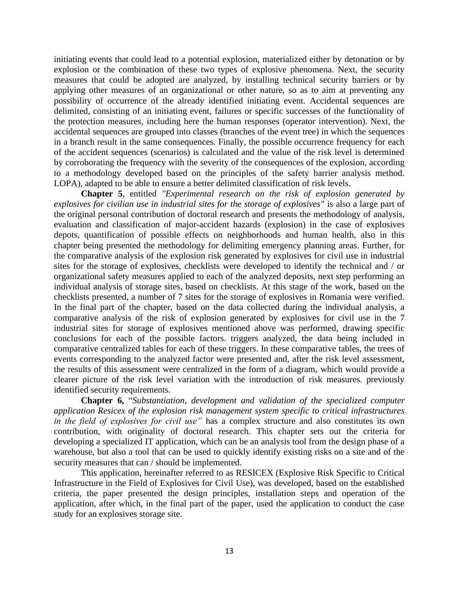initiating events that could lead to a potential explosion, materialized either by detonation or by explosion or the combination of these two types of explosive phenomena. Next, the security measures that could be adopted are analyzed, by installing technical security barriers or by applying other measures of an organizational or other nature, so as to aim at preventing any possibility of occurrence of the already identified initiating event. Accidental sequences are delimited, consisting of an initiating event, failures or specific successes of the functionality of the protection measures, including here the human responses (operator intervention). Next, the accidental sequences are grouped into classes (branches of the event tree) in which the sequences in a branch result in the same consequences. Finally, the possible occurrence frequency for each of the accident sequences (scenarios) is calculated and the value of the risk level is determined by corroborating the frequency with the severity of the consequences of the explosion, according to a methodology developed based on the principles of the safety barrier analysis method. LOPA), adapted to be able to ensure a better delimited classification of risk levels.

**Chapter 5**, entitled *"Experimental research on the risk of explosion generated by explosives for civilian use in industrial sites for the storage of explosives"* is also a large part of the original personal contribution of doctoral research and presents the methodology of analysis, evaluation and classification of major-accident hazards (explosion) in the case of explosives depots, quantification of possible effects on neighborhoods and human health, also in this chapter being presented the methodology for delimiting emergency planning areas. Further, for the comparative analysis of the explosion risk generated by explosives for civil use in industrial sites for the storage of explosives, checklists were developed to identify the technical and / or organizational safety measures applied to each of the analyzed deposits, next step performing an individual analysis of storage sites, based on checklists. At this stage of the work, based on the checklists presented, a number of 7 sites for the storage of explosives in Romania were verified. In the final part of the chapter, based on the data collected during the individual analysis, a comparative analysis of the risk of explosion generated by explosives for civil use in the 7 industrial sites for storage of explosives mentioned above was performed, drawing specific conclusions for each of the possible factors. triggers analyzed, the data being included in comparative centralized tables for each of these triggers. In these comparative tables, the trees of events corresponding to the analyzed factor were presented and, after the risk level assessment, the results of this assessment were centralized in the form of a diagram, which would provide a clearer picture of the risk level variation with the introduction of risk measures. previously identified security requirements.

**Chapter 6,** "*Substantiation, development and validation of the specialized computer application Resicex of the explosion risk management system specific to critical infrastructures in the field of explosives for civil use"* has a complex structure and also constitutes its own contribution, with originality of doctoral research. This chapter sets out the criteria for developing a specialized IT application, which can be an analysis tool from the design phase of a warehouse, but also a tool that can be used to quickly identify existing risks on a site and of the security measures that can / should be implemented.

This application, hereinafter referred to as RESICEX (Explosive Risk Specific to Critical Infrastructure in the Field of Explosives for Civil Use), was developed, based on the established criteria, the paper presented the design principles, installation steps and operation of the application, after which, in the final part of the paper, used the application to conduct the case study for an explosives storage site.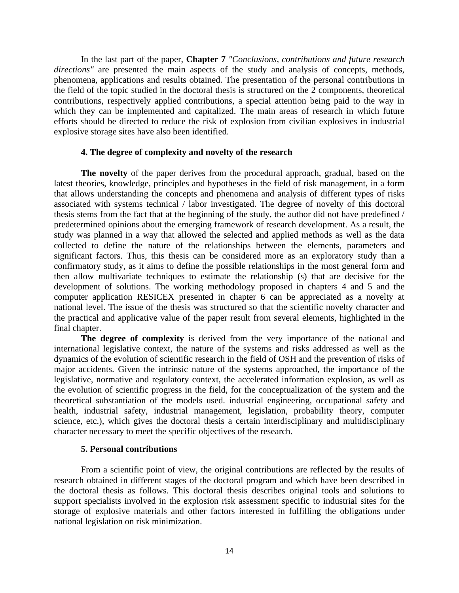In the last part of the paper, **Chapter 7** *"Conclusions, contributions and future research directions*" are presented the main aspects of the study and analysis of concepts, methods, phenomena, applications and results obtained. The presentation of the personal contributions in the field of the topic studied in the doctoral thesis is structured on the 2 components, theoretical contributions, respectively applied contributions, a special attention being paid to the way in which they can be implemented and capitalized. The main areas of research in which future efforts should be directed to reduce the risk of explosion from civilian explosives in industrial explosive storage sites have also been identified.

#### **4. The degree of complexity and novelty of the research**

**The novelty** of the paper derives from the procedural approach, gradual, based on the latest theories, knowledge, principles and hypotheses in the field of risk management, in a form that allows understanding the concepts and phenomena and analysis of different types of risks associated with systems technical / labor investigated. The degree of novelty of this doctoral thesis stems from the fact that at the beginning of the study, the author did not have predefined / predetermined opinions about the emerging framework of research development. As a result, the study was planned in a way that allowed the selected and applied methods as well as the data collected to define the nature of the relationships between the elements, parameters and significant factors. Thus, this thesis can be considered more as an exploratory study than a confirmatory study, as it aims to define the possible relationships in the most general form and then allow multivariate techniques to estimate the relationship (s) that are decisive for the development of solutions. The working methodology proposed in chapters 4 and 5 and the computer application RESICEX presented in chapter 6 can be appreciated as a novelty at national level. The issue of the thesis was structured so that the scientific novelty character and the practical and applicative value of the paper result from several elements, highlighted in the final chapter.

**The degree of complexity** is derived from the very importance of the national and international legislative context, the nature of the systems and risks addressed as well as the dynamics of the evolution of scientific research in the field of OSH and the prevention of risks of major accidents. Given the intrinsic nature of the systems approached, the importance of the legislative, normative and regulatory context, the accelerated information explosion, as well as the evolution of scientific progress in the field, for the conceptualization of the system and the theoretical substantiation of the models used. industrial engineering, occupational safety and health, industrial safety, industrial management, legislation, probability theory, computer science, etc.), which gives the doctoral thesis a certain interdisciplinary and multidisciplinary character necessary to meet the specific objectives of the research.

#### **5. Personal contributions**

From a scientific point of view, the original contributions are reflected by the results of research obtained in different stages of the doctoral program and which have been described in the doctoral thesis as follows. This doctoral thesis describes original tools and solutions to support specialists involved in the explosion risk assessment specific to industrial sites for the storage of explosive materials and other factors interested in fulfilling the obligations under national legislation on risk minimization.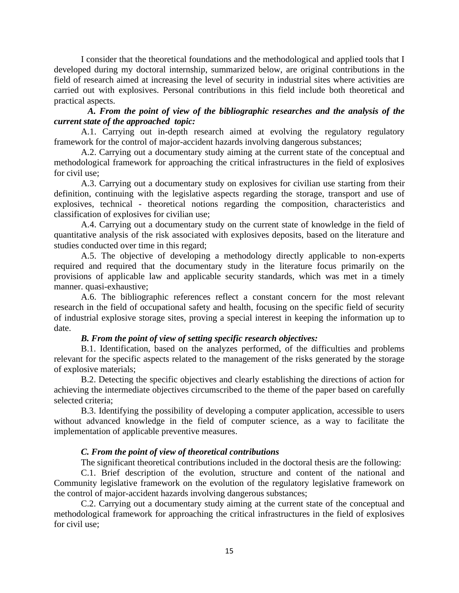I consider that the theoretical foundations and the methodological and applied tools that I developed during my doctoral internship, summarized below, are original contributions in the field of research aimed at increasing the level of security in industrial sites where activities are carried out with explosives. Personal contributions in this field include both theoretical and practical aspects.

#### *A. From the point of view of the bibliographic researches and the analysis of the current state of the approached topic:*

A.1. Carrying out in-depth research aimed at evolving the regulatory regulatory framework for the control of major-accident hazards involving dangerous substances;

A.2. Carrying out a documentary study aiming at the current state of the conceptual and methodological framework for approaching the critical infrastructures in the field of explosives for civil use;

A.3. Carrying out a documentary study on explosives for civilian use starting from their definition, continuing with the legislative aspects regarding the storage, transport and use of explosives, technical - theoretical notions regarding the composition, characteristics and classification of explosives for civilian use;

A.4. Carrying out a documentary study on the current state of knowledge in the field of quantitative analysis of the risk associated with explosives deposits, based on the literature and studies conducted over time in this regard;

A.5. The objective of developing a methodology directly applicable to non-experts required and required that the documentary study in the literature focus primarily on the provisions of applicable law and applicable security standards, which was met in a timely manner. quasi-exhaustive;

A.6. The bibliographic references reflect a constant concern for the most relevant research in the field of occupational safety and health, focusing on the specific field of security of industrial explosive storage sites, proving a special interest in keeping the information up to date.

#### *B. From the point of view of setting specific research objectives:*

B.1. Identification, based on the analyzes performed, of the difficulties and problems relevant for the specific aspects related to the management of the risks generated by the storage of explosive materials;

B.2. Detecting the specific objectives and clearly establishing the directions of action for achieving the intermediate objectives circumscribed to the theme of the paper based on carefully selected criteria;

B.3. Identifying the possibility of developing a computer application, accessible to users without advanced knowledge in the field of computer science, as a way to facilitate the implementation of applicable preventive measures.

#### *C. From the point of view of theoretical contributions*

The significant theoretical contributions included in the doctoral thesis are the following:

C.1. Brief description of the evolution, structure and content of the national and Community legislative framework on the evolution of the regulatory legislative framework on the control of major-accident hazards involving dangerous substances;

C.2. Carrying out a documentary study aiming at the current state of the conceptual and methodological framework for approaching the critical infrastructures in the field of explosives for civil use;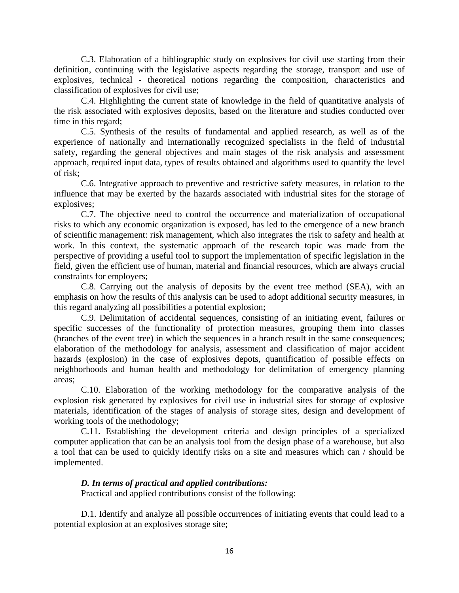C.3. Elaboration of a bibliographic study on explosives for civil use starting from their definition, continuing with the legislative aspects regarding the storage, transport and use of explosives, technical - theoretical notions regarding the composition, characteristics and classification of explosives for civil use;

C.4. Highlighting the current state of knowledge in the field of quantitative analysis of the risk associated with explosives deposits, based on the literature and studies conducted over time in this regard;

C.5. Synthesis of the results of fundamental and applied research, as well as of the experience of nationally and internationally recognized specialists in the field of industrial safety, regarding the general objectives and main stages of the risk analysis and assessment approach, required input data, types of results obtained and algorithms used to quantify the level of risk;

C.6. Integrative approach to preventive and restrictive safety measures, in relation to the influence that may be exerted by the hazards associated with industrial sites for the storage of explosives;

C.7. The objective need to control the occurrence and materialization of occupational risks to which any economic organization is exposed, has led to the emergence of a new branch of scientific management: risk management, which also integrates the risk to safety and health at work. In this context, the systematic approach of the research topic was made from the perspective of providing a useful tool to support the implementation of specific legislation in the field, given the efficient use of human, material and financial resources, which are always crucial constraints for employers;

C.8. Carrying out the analysis of deposits by the event tree method (SEA), with an emphasis on how the results of this analysis can be used to adopt additional security measures, in this regard analyzing all possibilities a potential explosion;

C.9. Delimitation of accidental sequences, consisting of an initiating event, failures or specific successes of the functionality of protection measures, grouping them into classes (branches of the event tree) in which the sequences in a branch result in the same consequences; elaboration of the methodology for analysis, assessment and classification of major accident hazards (explosion) in the case of explosives depots, quantification of possible effects on neighborhoods and human health and methodology for delimitation of emergency planning areas;

C.10. Elaboration of the working methodology for the comparative analysis of the explosion risk generated by explosives for civil use in industrial sites for storage of explosive materials, identification of the stages of analysis of storage sites, design and development of working tools of the methodology;

C.11. Establishing the development criteria and design principles of a specialized computer application that can be an analysis tool from the design phase of a warehouse, but also a tool that can be used to quickly identify risks on a site and measures which can / should be implemented.

#### *D. In terms of practical and applied contributions:*

Practical and applied contributions consist of the following:

D.1. Identify and analyze all possible occurrences of initiating events that could lead to a potential explosion at an explosives storage site;